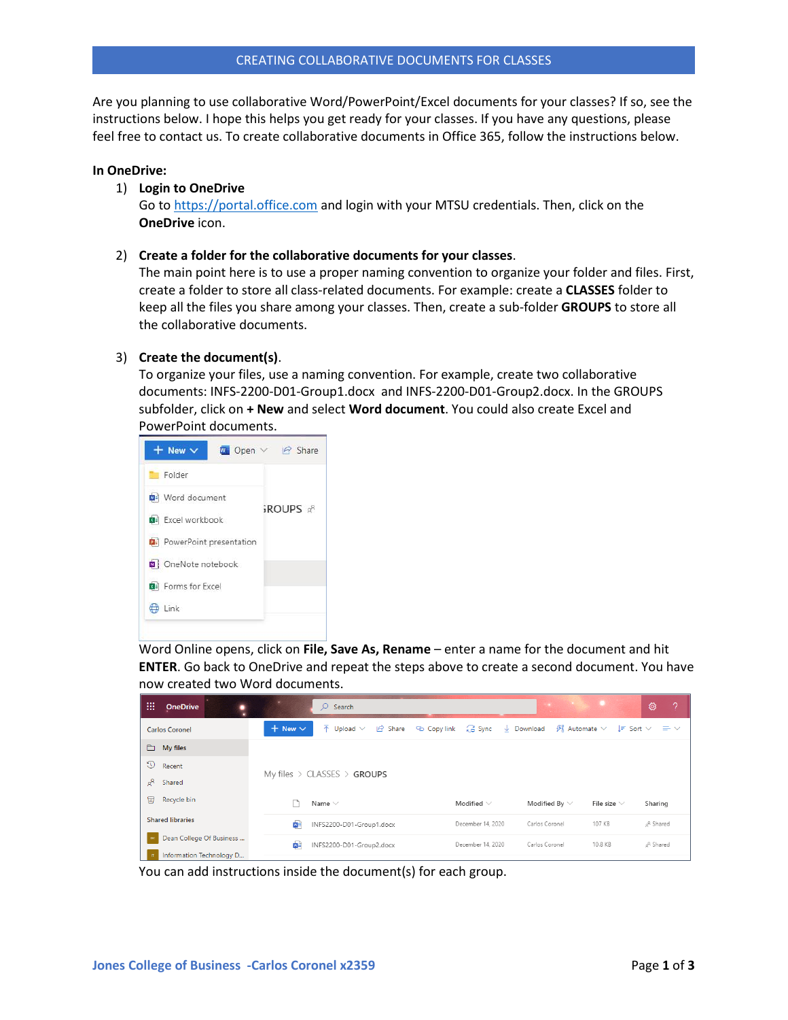Are you planning to use collaborative Word/PowerPoint/Excel documents for your classes? If so, see the instructions below. I hope this helps you get ready for your classes. If you have any questions, please feel free to contact us. To create collaborative documents in Office 365, follow the instructions below.

### **In OneDrive:**

#### 1) **Login to OneDrive**

Go to [https://portal.office.com](https://portal.office.com/) and login with your MTSU credentials. Then, click on the **OneDrive** icon.

2) **Create a folder for the collaborative documents for your classes**.

The main point here is to use a proper naming convention to organize your folder and files. First, create a folder to store all class-related documents. For example: create a **CLASSES** folder to keep all the files you share among your classes. Then, create a sub-folder **GROUPS** to store all the collaborative documents.

# 3) **Create the document(s)**.

To organize your files, use a naming convention. For example, create two collaborative documents: INFS-2200-D01-Group1.docx and INFS-2200-D01-Group2.docx. In the GROUPS subfolder, click on **+ New** and select **Word document**. You could also create Excel and PowerPoint documents.



Word Online opens, click on **File, Save As, Rename** – enter a name for the document and hit **ENTER**. Go back to OneDrive and repeat the steps above to create a second document. You have now created two Word documents.

| ₩<br><b>OneDrive</b>     | $\mathsf{Q}$<br>Search                                                       |                   | <b>CARD CARD AND A</b>                                | <b>A</b> O       | 0<br>-?                     |
|--------------------------|------------------------------------------------------------------------------|-------------------|-------------------------------------------------------|------------------|-----------------------------|
| <b>Carlos Coronel</b>    | $\overline{\uparrow}$ Upload $\vee$<br>$+$ New $\vee$<br>ය Share © Copy link | 급 Sync            | $\downarrow$ Download $\mathcal{B}^2$ Automate $\vee$ |                  | $I = Sort \vee \equiv \vee$ |
| $\Box$ My files          |                                                                              |                   |                                                       |                  |                             |
| O<br>Recent              | My files $\rightarrow$ CLASSES $\rightarrow$ GROUPS                          |                   |                                                       |                  |                             |
| $R^8$<br>Shared          |                                                                              |                   |                                                       |                  |                             |
| 同<br>Recycle bin         | Name $\vee$                                                                  | Modified $\vee$   | Modified By $\vee$                                    | File size $\vee$ | Sharing                     |
| <b>Shared libraries</b>  | 面目<br>INFS2200-D01-Group1.docx                                               | December 14, 2020 | Carlos Coronel                                        | 107 KB           | a <sup>R</sup> Shared       |
| Dean College Of Business | 凾<br>INFS2200-D01-Group2.docx                                                | December 14, 2020 | Carlos Coronel                                        | 10.8 KB          | <sub>o</sub> R Shared       |
| Information Technology D |                                                                              |                   |                                                       |                  |                             |

You can add instructions inside the document(s) for each group.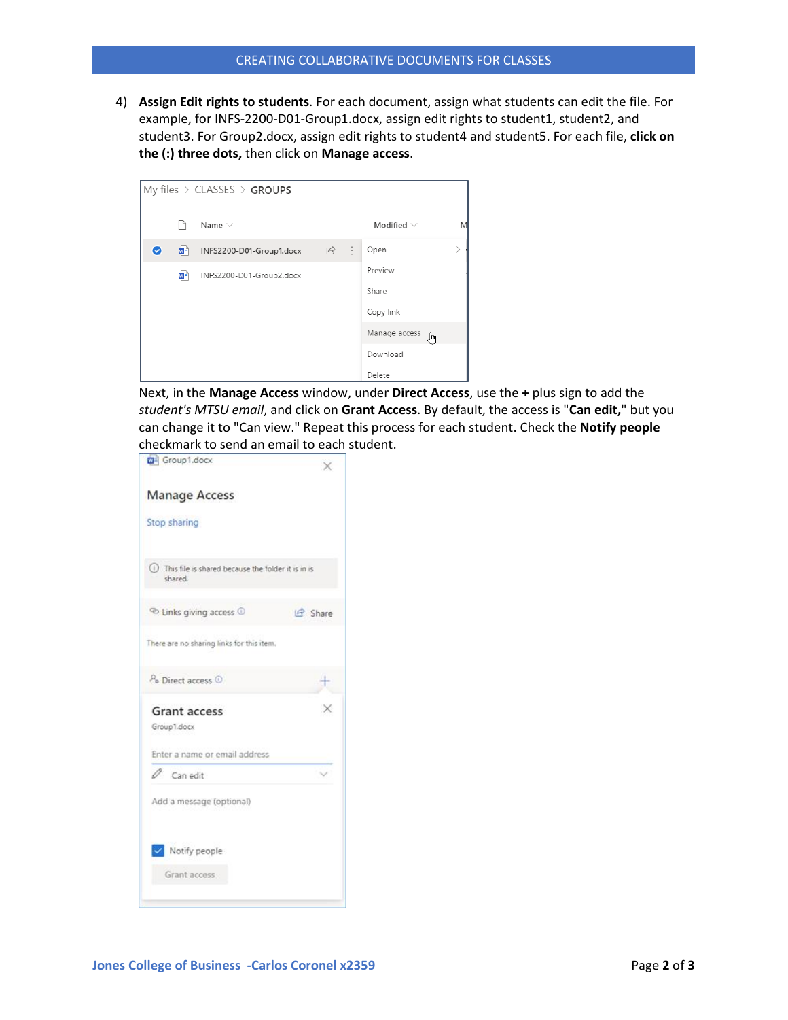4) **Assign Edit rights to students**. For each document, assign what students can edit the file. For example, for INFS-2200-D01-Group1.docx, assign edit rights to student1, student2, and student3. For Group2.docx, assign edit rights to student4 and student5. For each file, **click on the (:) three dots,** then click on **Manage access**.



Next, in the **Manage Access** window, under **Direct Access**, use the **+** plus sign to add the *student's MTSU email*, and click on **Grant Access**. By default, the access is "**Can edit,**" but you can change it to "Can view." Repeat this process for each student. Check the **Notify people** checkmark to send an email to each student.

| Group1.docx                                                       | $\times$            |
|-------------------------------------------------------------------|---------------------|
| <b>Manage Access</b>                                              |                     |
| Stop sharing                                                      |                     |
| (i) This file is shared because the folder it is in is<br>shared. |                     |
| <sup>co</sup> Links giving access <sup>1</sup>                    | $\mathcal{P}$ Share |
| There are no sharing links for this item.                         |                     |
| P <sub>o</sub> Direct access <sup>1</sup>                         |                     |
| <b>Grant access</b><br>Group1.docx                                |                     |
| Enter a name or email address                                     |                     |
| $\mathscr O$ Can edit                                             |                     |
| Add a message (optional)                                          |                     |
| V Notify people                                                   |                     |
|                                                                   |                     |